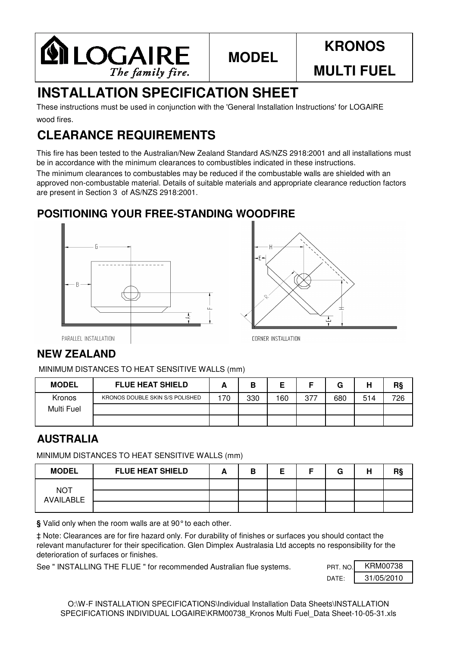

## **MODEL**

# **KRONOS**

**MULTI FUEL**

# **INSTALLATION SPECIFICATION SHEET**

wood fires. These instructions must be used in conjunction with the 'General Installation Instructions' for LOGAIRE

## **CLEARANCE REQUIREMENTS**

This fire has been tested to the Australian/New Zealand Standard AS/NZS 2918:2001 and all installations must be in accordance with the minimum clearances to combustibles indicated in these instructions.

The minimum clearances to combustables may be reduced if the combustable walls are shielded with an approved non-combustable material. Details of suitable materials and appropriate clearance reduction factors are present in Section 3 of AS/NZS 2918:2001.

#### **POSITIONING YOUR FREE-STANDING WOODFIRE**





PARALLEL INSTALLATION

#### **NEW ZEALAND**

MINIMUM DISTANCES TO HEAT SENSITIVE WALLS (mm)

| <b>MODEL</b> | <b>FLUE HEAT SHIELD</b>         |    |     |     |     | G   | ш<br>п | R§  |
|--------------|---------------------------------|----|-----|-----|-----|-----|--------|-----|
| Kronos       | KRONOS DOUBLE SKIN S/S POLISHED | 70 | 330 | 160 | 377 | 680 | 514    | 726 |
| Multi Fuel   |                                 |    |     |     |     |     |        |     |
|              |                                 |    |     |     |     |     |        |     |

#### **AUSTRALIA**

MINIMUM DISTANCES TO HEAT SENSITIVE WALLS (mm)

| <b>MODEL</b>            | <b>FLUE HEAT SHIELD</b> | В |  | G | н | R§ |
|-------------------------|-------------------------|---|--|---|---|----|
|                         |                         |   |  |   |   |    |
| <b>NOT</b><br>AVAILABLE |                         |   |  |   |   |    |
|                         |                         |   |  |   |   |    |

**§** Valid only when the room walls are at 90°to each other.

‡ Note: Clearances are for fire hazard only. For durability of finishes or surfaces you should contact the relevant manufacturer for their specification. Glen Dimplex Australasia Ltd accepts no responsibility for the deterioration of surfaces or finishes.

See " INSTALLING THE FLUE " for recommended Australian flue systems.

| PRT. NO. | KRM00738   |
|----------|------------|
| DATF     | 31/05/2010 |

O:\W-F INSTALLATION SPECIFICATIONS\Individual Installation Data Sheets\INSTALLATION SPECIFICATIONS INDIVIDUAL LOGAIRE\KRM00738 Kronos Multi Fuel Data Sheet-10-05-31.xls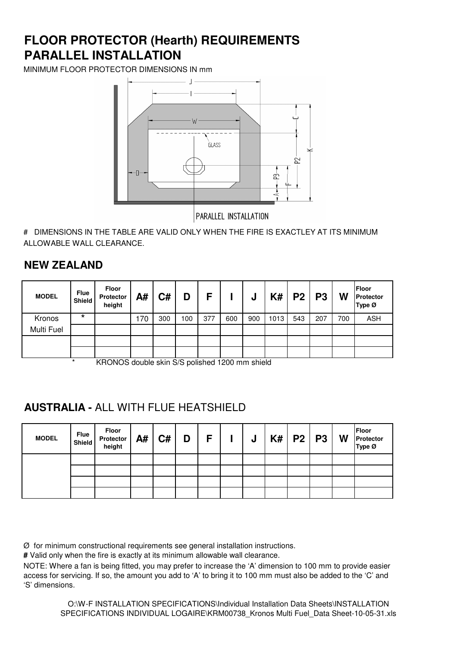### **PARALLEL INSTALLATION FLOOR PROTECTOR (Hearth) REQUIREMENTS**

MINIMUM FLOOR PROTECTOR DIMENSIONS IN mm



PARALLEL INSTALLATION

# DIMENSIONS IN THE TABLE ARE VALID ONLY WHEN THE FIRE IS EXACTLEY AT ITS MINIMUM ALLOWABLE WALL CLEARANCE.

#### **NEW ZEALAND**

| <b>MODEL</b> | <b>Flue</b><br>Shield | Floor<br>Protector<br>height | A#  | C#  | D   | F   |     | υ   | K#   | P <sub>2</sub> | P <sub>3</sub> | W   | Floor<br>Protector<br>Type Ø |
|--------------|-----------------------|------------------------------|-----|-----|-----|-----|-----|-----|------|----------------|----------------|-----|------------------------------|
| Kronos       | $\star$               |                              | 170 | 300 | 100 | 377 | 600 | 900 | 1013 | 543            | 207            | 700 | <b>ASH</b>                   |
| Multi Fuel   |                       |                              |     |     |     |     |     |     |      |                |                |     |                              |
|              |                       |                              |     |     |     |     |     |     |      |                |                |     |                              |
|              |                       |                              |     |     |     |     |     |     |      |                |                |     |                              |

KRONOS double skin S/S polished 1200 mm shield

#### **AUSTRALIA -** ALL WITH FLUE HEATSHIELD

| <b>MODEL</b> | Flue<br>Shield | Floor<br>Protector<br>height | A# | C# | D | $F \parallel$ | J | $K#$   P2   P3 | W | Floor<br>Protector<br>Type Ø |
|--------------|----------------|------------------------------|----|----|---|---------------|---|----------------|---|------------------------------|
|              |                |                              |    |    |   |               |   |                |   |                              |
|              |                |                              |    |    |   |               |   |                |   |                              |
|              |                |                              |    |    |   |               |   |                |   |                              |
|              |                |                              |    |    |   |               |   |                |   |                              |

Ø for minimum constructional requirements see general installation instructions.

**#** Valid only when the fire is exactly at its minimum allowable wall clearance.

NOTE: Where a fan is being fitted, you may prefer to increase the 'A' dimension to 100 mm to provide easier access for servicing. If so, the amount you add to 'A' to bring it to 100 mm must also be added to the 'C' and 'S' dimensions.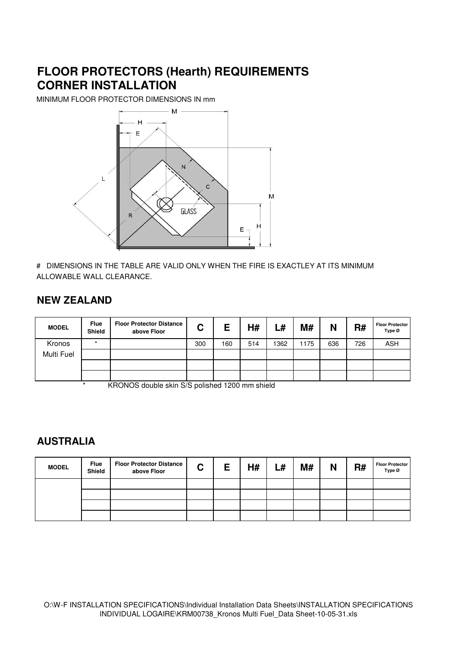#### **FLOOR PROTECTORS (Hearth) REQUIREMENTS CORNER INSTALLATION**

MINIMUM FLOOR PROTECTOR DIMENSIONS IN mm



# DIMENSIONS IN THE TABLE ARE VALID ONLY WHEN THE FIRE IS EXACTLEY AT ITS MINIMUM ALLOWABLE WALL CLEARANCE.

#### **NEW ZEALAND**

| <b>MODEL</b> | <b>Flue</b><br>Shield | <b>Floor Protector Distance</b><br>above Floor | C   | Е   | H#  | L#   | <b>M#</b> | N   | R#  | <b>Floor Protector</b><br>Type Ø |
|--------------|-----------------------|------------------------------------------------|-----|-----|-----|------|-----------|-----|-----|----------------------------------|
| Kronos       | $\star$               |                                                | 300 | 160 | 514 | 1362 | 1175      | 636 | 726 | <b>ASH</b>                       |
| Multi Fuel   |                       |                                                |     |     |     |      |           |     |     |                                  |
|              |                       |                                                |     |     |     |      |           |     |     |                                  |
|              |                       |                                                |     |     |     |      |           |     |     |                                  |

KRONOS double skin S/S polished 1200 mm shield

#### **AUSTRALIA**

| <b>MODEL</b> | <b>Flue</b><br>Shield | <b>Floor Protector Distance</b><br>above Floor | $\mathbf{C}$ | Ε | H# | L# | M# | N | R# | <b>Floor Protector</b><br>Type $\varnothing$ |
|--------------|-----------------------|------------------------------------------------|--------------|---|----|----|----|---|----|----------------------------------------------|
|              |                       |                                                |              |   |    |    |    |   |    |                                              |
|              |                       |                                                |              |   |    |    |    |   |    |                                              |
|              |                       |                                                |              |   |    |    |    |   |    |                                              |
|              |                       |                                                |              |   |    |    |    |   |    |                                              |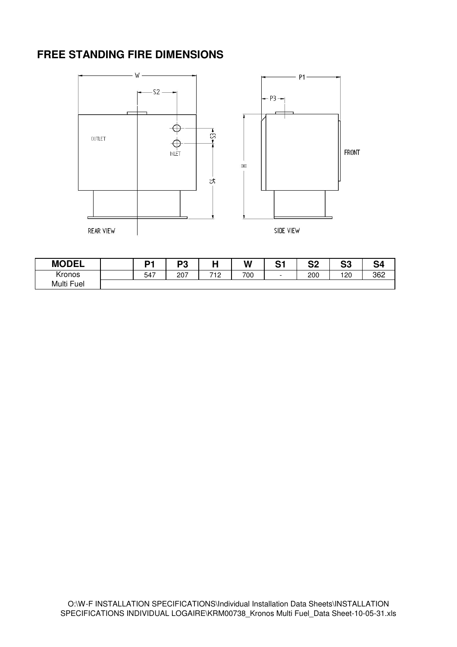#### **FREE STANDING FIRE DIMENSIONS**



| <b>MODEL</b>      | n.  | ng<br>- ت |                   | W   | r.<br>১ | c n<br>◡▵ | ິ<br>აა | S <sub>4</sub> |
|-------------------|-----|-----------|-------------------|-----|---------|-----------|---------|----------------|
| $\cdot$<br>Kronos | 547 | 207       | 712<br>. <u>.</u> | 700 |         | 200       | 120     | 362            |
| Multi Fuel        |     |           |                   |     |         |           |         |                |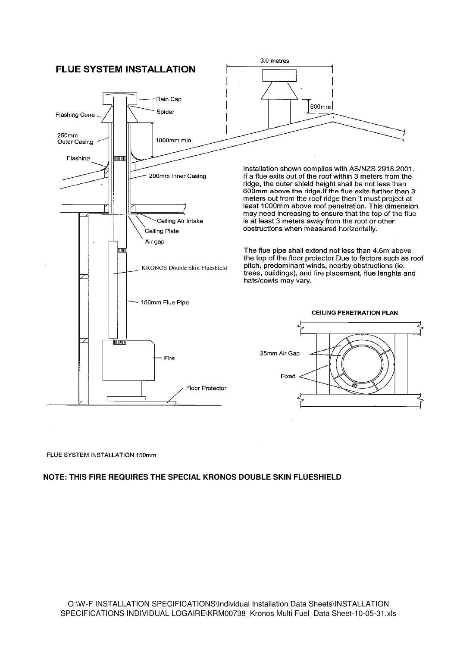

#### FLUE SYSTEM INSTALLATION 150mm

#### **NOTE: THIS FIRE REQUIRES THE SPECIAL KRONOS DOUBLE SKIN FLUESHIELD**